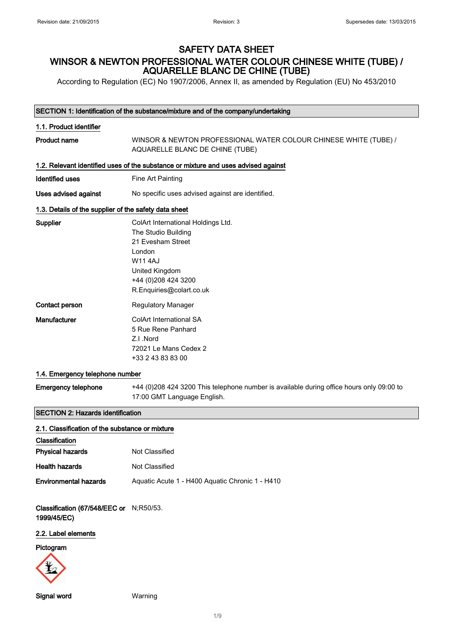According to Regulation (EC) No 1907/2006, Annex II, as amended by Regulation (EU) No 453/2010

#### SECTION 1: Identification of the substance/mixture and of the company/undertaking

| 1.1. Product identifier                               |                                                                                                                                                                                |
|-------------------------------------------------------|--------------------------------------------------------------------------------------------------------------------------------------------------------------------------------|
| <b>Product name</b>                                   | WINSOR & NEWTON PROFESSIONAL WATER COLOUR CHINESE WHITE (TUBE) /<br>AQUARELLE BLANC DE CHINE (TUBE)                                                                            |
|                                                       | 1.2. Relevant identified uses of the substance or mixture and uses advised against                                                                                             |
| <b>Identified uses</b>                                | Fine Art Painting                                                                                                                                                              |
| Uses advised against                                  | No specific uses advised against are identified.                                                                                                                               |
| 1.3. Details of the supplier of the safety data sheet |                                                                                                                                                                                |
| Supplier                                              | ColArt International Holdings Ltd.<br>The Studio Building<br>21 Evesham Street<br>London<br><b>W114AJ</b><br>United Kingdom<br>+44 (0)208 424 3200<br>R.Enquiries@colart.co.uk |
| Contact person                                        | <b>Regulatory Manager</b>                                                                                                                                                      |
| Manufacturer                                          | ColArt International SA<br>5 Rue Rene Panhard<br>Z.I.Nord<br>72021 Le Mans Cedex 2<br>+33 2 43 83 83 00                                                                        |
| 1.4. Emergency telephone number                       |                                                                                                                                                                                |
|                                                       | $\Gamma$ menus puhakana $(1.41/0)$ 000 101 0000 This telephone pumbanis supilahla dupas effice beure selu 00:00 to                                                             |

Emergency telephone +44 (0)208 424 3200 This telephone number is available during office hours only 09:00 to 17:00 GMT Language English.

### SECTION 2: Hazards identification

| 2.1. Classification of the substance or mixture                                 |                |  |
|---------------------------------------------------------------------------------|----------------|--|
| Classification                                                                  |                |  |
| <b>Physical hazards</b>                                                         | Not Classified |  |
| <b>Health hazards</b>                                                           | Not Classified |  |
| Aquatic Acute 1 - H400 Aquatic Chronic 1 - H410<br><b>Environmental hazards</b> |                |  |

Classification (67/548/EEC or N;R50/53. 1999/45/EC)

## 2.2. Label elements

## Pictogram



```
Signal word Warning
```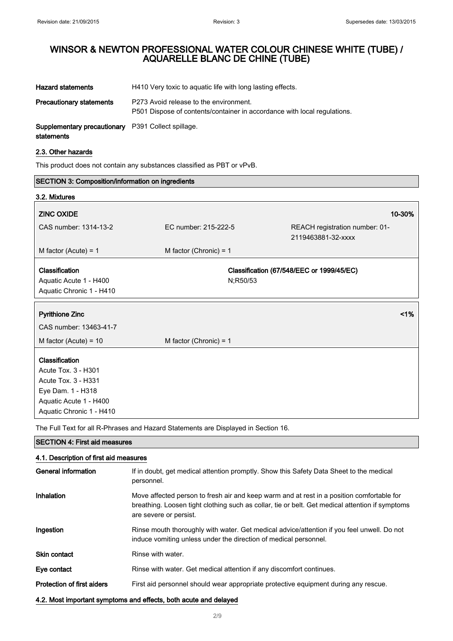| <b>Hazard statements</b>                                                | H410 Very toxic to aquatic life with long lasting effects.                                                         |
|-------------------------------------------------------------------------|--------------------------------------------------------------------------------------------------------------------|
| <b>Precautionary statements</b>                                         | P273 Avoid release to the environment.<br>P501 Dispose of contents/container in accordance with local regulations. |
| <b>Supplementary precautionary</b> P391 Collect spillage.<br>statements |                                                                                                                    |

# 2.3. Other hazards

This product does not contain any substances classified as PBT or vPvB.

| <b>SECTION 3: Composition/information on ingredients</b>                                                                                |                          |          |                                                      |
|-----------------------------------------------------------------------------------------------------------------------------------------|--------------------------|----------|------------------------------------------------------|
| 3.2. Mixtures                                                                                                                           |                          |          |                                                      |
| <b>ZINC OXIDE</b>                                                                                                                       |                          |          | 10-30%                                               |
| CAS number: 1314-13-2                                                                                                                   | EC number: 215-222-5     |          | REACH registration number: 01-<br>2119463881-32-xxxx |
| M factor (Acute) = $1$                                                                                                                  | M factor (Chronic) = $1$ |          |                                                      |
| Classification<br>Aquatic Acute 1 - H400<br>Aquatic Chronic 1 - H410                                                                    |                          | N;R50/53 | Classification (67/548/EEC or 1999/45/EC)            |
| <b>Pyrithione Zinc</b>                                                                                                                  |                          |          | 1%                                                   |
| CAS number: 13463-41-7                                                                                                                  |                          |          |                                                      |
| M factor (Acute) = $10$                                                                                                                 | M factor (Chronic) = $1$ |          |                                                      |
| Classification<br>Acute Tox. 3 - H301<br>Acute Tox. 3 - H331<br>Eye Dam. 1 - H318<br>Aquatic Acute 1 - H400<br>Aquatic Chronic 1 - H410 |                          |          |                                                      |

The Full Text for all R-Phrases and Hazard Statements are Displayed in Section 16.

| <b>ISECTION 4: First aid measures</b>                            |                                                                                                                                                                                                                        |
|------------------------------------------------------------------|------------------------------------------------------------------------------------------------------------------------------------------------------------------------------------------------------------------------|
| 4.1. Description of first aid measures                           |                                                                                                                                                                                                                        |
| General information                                              | If in doubt, get medical attention promptly. Show this Safety Data Sheet to the medical<br>personnel.                                                                                                                  |
| <b>Inhalation</b>                                                | Move affected person to fresh air and keep warm and at rest in a position comfortable for<br>breathing. Loosen tight clothing such as collar, tie or belt. Get medical attention if symptoms<br>are severe or persist. |
| Ingestion                                                        | Rinse mouth thoroughly with water. Get medical advice/attention if you feel unwell. Do not<br>induce vomiting unless under the direction of medical personnel.                                                         |
| <b>Skin contact</b>                                              | Rinse with water.                                                                                                                                                                                                      |
| Eye contact                                                      | Rinse with water. Get medical attention if any discomfort continues.                                                                                                                                                   |
| <b>Protection of first aiders</b>                                | First aid personnel should wear appropriate protective equipment during any rescue.                                                                                                                                    |
| 4.2. Most important symptoms and effects, both acute and delayed |                                                                                                                                                                                                                        |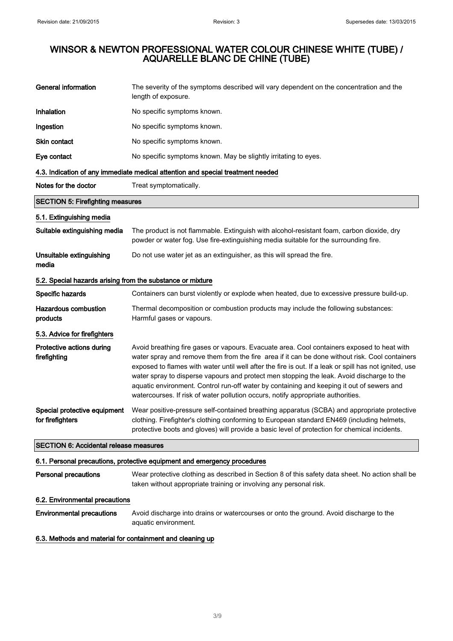| <b>General information</b>                                 | The severity of the symptoms described will vary dependent on the concentration and the<br>length of exposure.                                                                                                                                                                                                                                                                                                                                                                                                                                                                       |
|------------------------------------------------------------|--------------------------------------------------------------------------------------------------------------------------------------------------------------------------------------------------------------------------------------------------------------------------------------------------------------------------------------------------------------------------------------------------------------------------------------------------------------------------------------------------------------------------------------------------------------------------------------|
| Inhalation                                                 | No specific symptoms known.                                                                                                                                                                                                                                                                                                                                                                                                                                                                                                                                                          |
| Ingestion                                                  | No specific symptoms known.                                                                                                                                                                                                                                                                                                                                                                                                                                                                                                                                                          |
| Skin contact                                               | No specific symptoms known.                                                                                                                                                                                                                                                                                                                                                                                                                                                                                                                                                          |
| Eye contact                                                | No specific symptoms known. May be slightly irritating to eyes.                                                                                                                                                                                                                                                                                                                                                                                                                                                                                                                      |
|                                                            | 4.3. Indication of any immediate medical attention and special treatment needed                                                                                                                                                                                                                                                                                                                                                                                                                                                                                                      |
| Notes for the doctor                                       | Treat symptomatically.                                                                                                                                                                                                                                                                                                                                                                                                                                                                                                                                                               |
| <b>SECTION 5: Firefighting measures</b>                    |                                                                                                                                                                                                                                                                                                                                                                                                                                                                                                                                                                                      |
| 5.1. Extinguishing media                                   |                                                                                                                                                                                                                                                                                                                                                                                                                                                                                                                                                                                      |
| Suitable extinguishing media                               | The product is not flammable. Extinguish with alcohol-resistant foam, carbon dioxide, dry<br>powder or water fog. Use fire-extinguishing media suitable for the surrounding fire.                                                                                                                                                                                                                                                                                                                                                                                                    |
| Unsuitable extinguishing<br>media                          | Do not use water jet as an extinguisher, as this will spread the fire.                                                                                                                                                                                                                                                                                                                                                                                                                                                                                                               |
| 5.2. Special hazards arising from the substance or mixture |                                                                                                                                                                                                                                                                                                                                                                                                                                                                                                                                                                                      |
| Specific hazards                                           | Containers can burst violently or explode when heated, due to excessive pressure build-up.                                                                                                                                                                                                                                                                                                                                                                                                                                                                                           |
| <b>Hazardous combustion</b><br>products                    | Thermal decomposition or combustion products may include the following substances:<br>Harmful gases or vapours.                                                                                                                                                                                                                                                                                                                                                                                                                                                                      |
| 5.3. Advice for firefighters                               |                                                                                                                                                                                                                                                                                                                                                                                                                                                                                                                                                                                      |
| Protective actions during<br>firefighting                  | Avoid breathing fire gases or vapours. Evacuate area. Cool containers exposed to heat with<br>water spray and remove them from the fire area if it can be done without risk. Cool containers<br>exposed to flames with water until well after the fire is out. If a leak or spill has not ignited, use<br>water spray to disperse vapours and protect men stopping the leak. Avoid discharge to the<br>aquatic environment. Control run-off water by containing and keeping it out of sewers and<br>watercourses. If risk of water pollution occurs, notify appropriate authorities. |
| Special protective equipment<br>for firefighters           | Wear positive-pressure self-contained breathing apparatus (SCBA) and appropriate protective<br>clothing. Firefighter's clothing conforming to European standard EN469 (including helmets,<br>protective boots and gloves) will provide a basic level of protection for chemical incidents.                                                                                                                                                                                                                                                                                           |
| <b>SECTION 6: Accidental release measures</b>              |                                                                                                                                                                                                                                                                                                                                                                                                                                                                                                                                                                                      |
|                                                            | 6.1. Personal precautions, protective equipment and emergency procedures                                                                                                                                                                                                                                                                                                                                                                                                                                                                                                             |
| <b>Personal precautions</b>                                | Wear protective clothing as described in Section 8 of this safety data sheet. No action shall be<br>taken without appropriate training or involving any personal risk.                                                                                                                                                                                                                                                                                                                                                                                                               |
| 6.2. Environmental precautions                             |                                                                                                                                                                                                                                                                                                                                                                                                                                                                                                                                                                                      |
| <b>Environmental precautions</b>                           | Avoid discharge into drains or watercourses or onto the ground. Avoid discharge to the<br>aquatic environment.                                                                                                                                                                                                                                                                                                                                                                                                                                                                       |

## 6.3. Methods and material for containment and cleaning up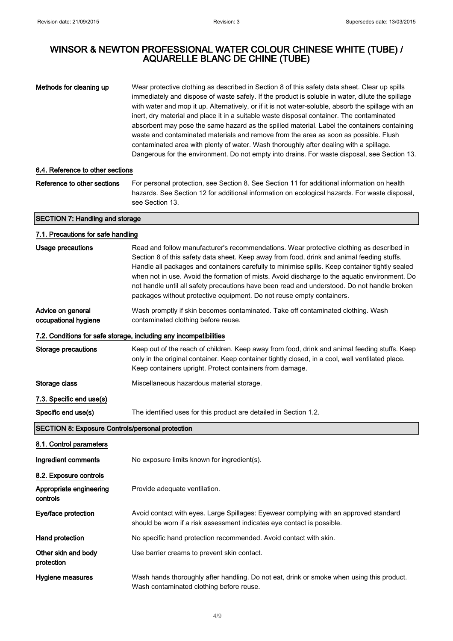Methods for cleaning up Wear protective clothing as described in Section 8 of this safety data sheet. Clear up spills immediately and dispose of waste safely. If the product is soluble in water, dilute the spillage with water and mop it up. Alternatively, or if it is not water-soluble, absorb the spillage with an inert, dry material and place it in a suitable waste disposal container. The contaminated absorbent may pose the same hazard as the spilled material. Label the containers containing waste and contaminated materials and remove from the area as soon as possible. Flush contaminated area with plenty of water. Wash thoroughly after dealing with a spillage. Dangerous for the environment. Do not empty into drains. For waste disposal, see Section 13.

#### 6.4. Reference to other sections

Reference to other sections For personal protection, see Section 8. See Section 11 for additional information on health hazards. See Section 12 for additional information on ecological hazards. For waste disposal, see Section 13.

#### SECTION 7: Handling and storage

| 7.1. Precautions for safe handling                      |                                                                                                                                                                                                                                                                                                                                                                                                                                                                                                                                                                   |
|---------------------------------------------------------|-------------------------------------------------------------------------------------------------------------------------------------------------------------------------------------------------------------------------------------------------------------------------------------------------------------------------------------------------------------------------------------------------------------------------------------------------------------------------------------------------------------------------------------------------------------------|
| <b>Usage precautions</b>                                | Read and follow manufacturer's recommendations. Wear protective clothing as described in<br>Section 8 of this safety data sheet. Keep away from food, drink and animal feeding stuffs.<br>Handle all packages and containers carefully to minimise spills. Keep container tightly sealed<br>when not in use. Avoid the formation of mists. Avoid discharge to the aquatic environment. Do<br>not handle until all safety precautions have been read and understood. Do not handle broken<br>packages without protective equipment. Do not reuse empty containers. |
| Advice on general<br>occupational hygiene               | Wash promptly if skin becomes contaminated. Take off contaminated clothing. Wash<br>contaminated clothing before reuse.                                                                                                                                                                                                                                                                                                                                                                                                                                           |
|                                                         | 7.2. Conditions for safe storage, including any incompatibilities                                                                                                                                                                                                                                                                                                                                                                                                                                                                                                 |
| <b>Storage precautions</b>                              | Keep out of the reach of children. Keep away from food, drink and animal feeding stuffs. Keep<br>only in the original container. Keep container tightly closed, in a cool, well ventilated place.<br>Keep containers upright. Protect containers from damage.                                                                                                                                                                                                                                                                                                     |
| Storage class                                           | Miscellaneous hazardous material storage.                                                                                                                                                                                                                                                                                                                                                                                                                                                                                                                         |
| 7.3. Specific end use(s)                                |                                                                                                                                                                                                                                                                                                                                                                                                                                                                                                                                                                   |
| Specific end use(s)                                     | The identified uses for this product are detailed in Section 1.2.                                                                                                                                                                                                                                                                                                                                                                                                                                                                                                 |
| <b>SECTION 8: Exposure Controls/personal protection</b> |                                                                                                                                                                                                                                                                                                                                                                                                                                                                                                                                                                   |
| 8.1. Control parameters                                 |                                                                                                                                                                                                                                                                                                                                                                                                                                                                                                                                                                   |
| Ingredient comments                                     | No exposure limits known for ingredient(s).                                                                                                                                                                                                                                                                                                                                                                                                                                                                                                                       |
| 8.2. Exposure controls                                  |                                                                                                                                                                                                                                                                                                                                                                                                                                                                                                                                                                   |
| Appropriate engineering<br>controls                     | Provide adequate ventilation.                                                                                                                                                                                                                                                                                                                                                                                                                                                                                                                                     |
| Eye/face protection                                     | Avoid contact with eyes. Large Spillages: Eyewear complying with an approved standard<br>should be worn if a risk assessment indicates eye contact is possible.                                                                                                                                                                                                                                                                                                                                                                                                   |
| Hand protection                                         | No specific hand protection recommended. Avoid contact with skin.                                                                                                                                                                                                                                                                                                                                                                                                                                                                                                 |
| Other skin and body<br>protection                       | Use barrier creams to prevent skin contact.                                                                                                                                                                                                                                                                                                                                                                                                                                                                                                                       |
| Hygiene measures                                        | Wash hands thoroughly after handling. Do not eat, drink or smoke when using this product.<br>Wash contaminated clothing before reuse.                                                                                                                                                                                                                                                                                                                                                                                                                             |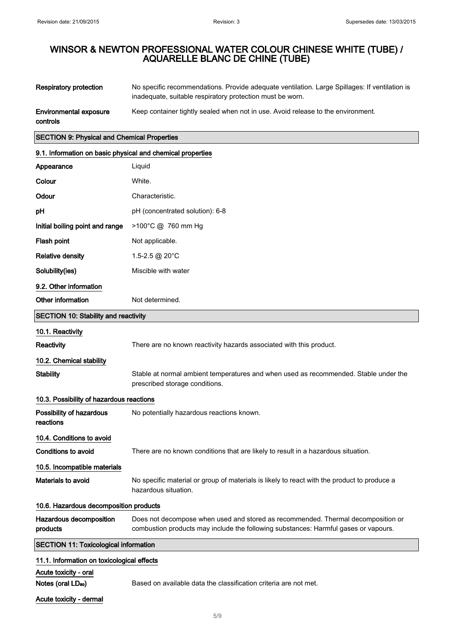| Respiratory protection | No specific recommendations. Provide adequate ventilation. Large Spillages: If ventilation is<br>inadequate, suitable respiratory protection must be worn. |
|------------------------|------------------------------------------------------------------------------------------------------------------------------------------------------------|
| Environmental exposure | Keep container tightly sealed when not in use. Avoid release to the environment.                                                                           |

Acute toxicity - dermal

## SECTION 9: Physical and Chemical Properties

| 9.1. Information on basic physical and chemical properties |                                                                                                                                                                         |  |
|------------------------------------------------------------|-------------------------------------------------------------------------------------------------------------------------------------------------------------------------|--|
| Appearance                                                 | Liquid                                                                                                                                                                  |  |
| Colour                                                     | White.                                                                                                                                                                  |  |
| Odour                                                      | Characteristic.                                                                                                                                                         |  |
| рH                                                         | pH (concentrated solution): 6-8                                                                                                                                         |  |
| Initial boiling point and range                            | >100°C @ 760 mm Hg                                                                                                                                                      |  |
| Flash point                                                | Not applicable.                                                                                                                                                         |  |
| <b>Relative density</b>                                    | 1.5-2.5 @ 20°C                                                                                                                                                          |  |
| Solubility(ies)                                            | Miscible with water                                                                                                                                                     |  |
| 9.2. Other information                                     |                                                                                                                                                                         |  |
| Other information                                          | Not determined.                                                                                                                                                         |  |
| <b>SECTION 10: Stability and reactivity</b>                |                                                                                                                                                                         |  |
| 10.1. Reactivity                                           |                                                                                                                                                                         |  |
| Reactivity                                                 | There are no known reactivity hazards associated with this product.                                                                                                     |  |
| 10.2. Chemical stability                                   |                                                                                                                                                                         |  |
| <b>Stability</b>                                           | Stable at normal ambient temperatures and when used as recommended. Stable under the<br>prescribed storage conditions.                                                  |  |
| 10.3. Possibility of hazardous reactions                   |                                                                                                                                                                         |  |
| Possibility of hazardous<br>reactions                      | No potentially hazardous reactions known.                                                                                                                               |  |
| 10.4. Conditions to avoid                                  |                                                                                                                                                                         |  |
| <b>Conditions to avoid</b>                                 | There are no known conditions that are likely to result in a hazardous situation.                                                                                       |  |
| 10.5. Incompatible materials                               |                                                                                                                                                                         |  |
| Materials to avoid                                         | No specific material or group of materials is likely to react with the product to produce a<br>hazardous situation.                                                     |  |
| 10.6. Hazardous decomposition products                     |                                                                                                                                                                         |  |
| Hazardous decomposition<br>products                        | Does not decompose when used and stored as recommended. Thermal decomposition or<br>combustion products may include the following substances: Harmful gases or vapours. |  |
| <b>SECTION 11: Toxicological information</b>               |                                                                                                                                                                         |  |
| 11.1. Information on toxicological effects                 |                                                                                                                                                                         |  |
| Acute toxicity - oral                                      |                                                                                                                                                                         |  |

Notes (oral LD<sub>50</sub>) Based on available data the classification criteria are not met.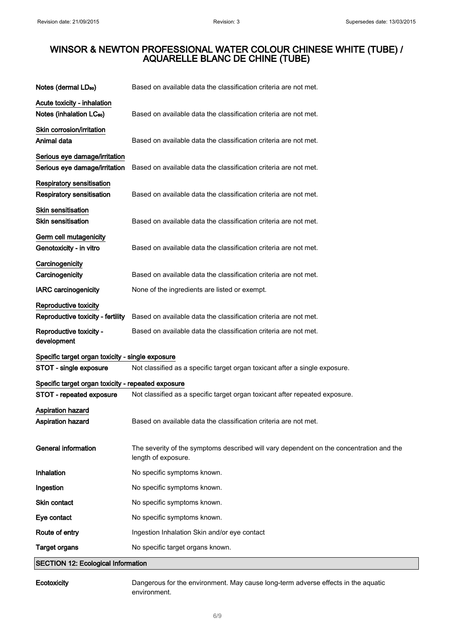| Notes (dermal LD <sub>50</sub> )                                     | Based on available data the classification criteria are not met.                                               |
|----------------------------------------------------------------------|----------------------------------------------------------------------------------------------------------------|
| Acute toxicity - inhalation<br>Notes (inhalation LC <sub>50</sub> )  | Based on available data the classification criteria are not met.                                               |
| Skin corrosion/irritation<br>Animal data                             | Based on available data the classification criteria are not met.                                               |
| Serious eye damage/irritation<br>Serious eye damage/irritation       | Based on available data the classification criteria are not met.                                               |
| <b>Respiratory sensitisation</b><br><b>Respiratory sensitisation</b> | Based on available data the classification criteria are not met.                                               |
| <b>Skin sensitisation</b><br><b>Skin sensitisation</b>               | Based on available data the classification criteria are not met.                                               |
| Germ cell mutagenicity<br>Genotoxicity - in vitro                    | Based on available data the classification criteria are not met.                                               |
| Carcinogenicity<br>Carcinogenicity                                   | Based on available data the classification criteria are not met.                                               |
| <b>IARC</b> carcinogenicity                                          | None of the ingredients are listed or exempt.                                                                  |
| Reproductive toxicity<br>Reproductive toxicity - fertility           | Based on available data the classification criteria are not met.                                               |
| Reproductive toxicity -<br>development                               | Based on available data the classification criteria are not met.                                               |
| Specific target organ toxicity - single exposure                     |                                                                                                                |
| STOT - single exposure                                               | Not classified as a specific target organ toxicant after a single exposure.                                    |
| Specific target organ toxicity - repeated exposure                   |                                                                                                                |
| STOT - repeated exposure                                             | Not classified as a specific target organ toxicant after repeated exposure.                                    |
| Aspiration hazard<br><b>Aspiration hazard</b>                        | Based on available data the classification criteria are not met.                                               |
| <b>General information</b>                                           | The severity of the symptoms described will vary dependent on the concentration and the<br>length of exposure. |
| Inhalation                                                           | No specific symptoms known.                                                                                    |
| Ingestion                                                            | No specific symptoms known.                                                                                    |
| <b>Skin contact</b>                                                  | No specific symptoms known.                                                                                    |
| Eye contact                                                          | No specific symptoms known.                                                                                    |
| Route of entry                                                       | Ingestion Inhalation Skin and/or eye contact                                                                   |
| <b>Target organs</b>                                                 | No specific target organs known.                                                                               |
| <b>SECTION 12: Ecological Information</b>                            |                                                                                                                |

Ecotoxicity Dangerous for the environment. May cause long-term adverse effects in the aquatic environment.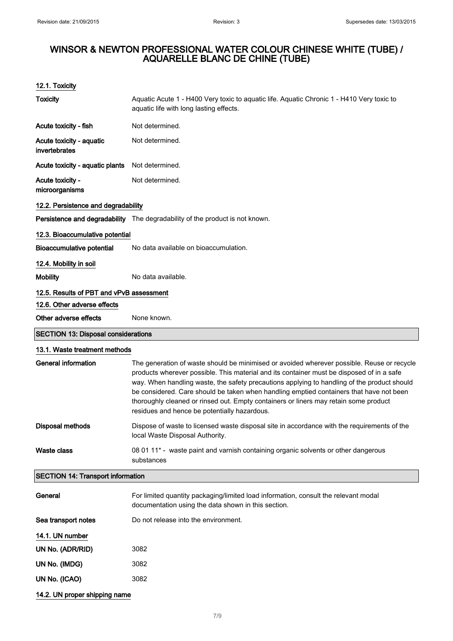| <b>Toxicity</b>                            | Aquatic Acute 1 - H400 Very toxic to aquatic life. Aquatic Chronic 1 - H410 Very toxic to<br>aquatic life with long lasting effects.                                                                                                                                                                                                                                                                                                                                                                                      |  |
|--------------------------------------------|---------------------------------------------------------------------------------------------------------------------------------------------------------------------------------------------------------------------------------------------------------------------------------------------------------------------------------------------------------------------------------------------------------------------------------------------------------------------------------------------------------------------------|--|
| Acute toxicity - fish                      | Not determined.                                                                                                                                                                                                                                                                                                                                                                                                                                                                                                           |  |
| Acute toxicity - aquatic<br>invertebrates  | Not determined.                                                                                                                                                                                                                                                                                                                                                                                                                                                                                                           |  |
| Acute toxicity - aquatic plants            | Not determined.                                                                                                                                                                                                                                                                                                                                                                                                                                                                                                           |  |
| Acute toxicity -<br>microorganisms         | Not determined.                                                                                                                                                                                                                                                                                                                                                                                                                                                                                                           |  |
| 12.2. Persistence and degradability        |                                                                                                                                                                                                                                                                                                                                                                                                                                                                                                                           |  |
|                                            | Persistence and degradability The degradability of the product is not known.                                                                                                                                                                                                                                                                                                                                                                                                                                              |  |
| 12.3. Bioaccumulative potential            |                                                                                                                                                                                                                                                                                                                                                                                                                                                                                                                           |  |
| <b>Bioaccumulative potential</b>           | No data available on bioaccumulation.                                                                                                                                                                                                                                                                                                                                                                                                                                                                                     |  |
| 12.4. Mobility in soil                     |                                                                                                                                                                                                                                                                                                                                                                                                                                                                                                                           |  |
| <b>Mobility</b>                            | No data available.                                                                                                                                                                                                                                                                                                                                                                                                                                                                                                        |  |
| 12.5. Results of PBT and vPvB assessment   |                                                                                                                                                                                                                                                                                                                                                                                                                                                                                                                           |  |
| 12.6. Other adverse effects                |                                                                                                                                                                                                                                                                                                                                                                                                                                                                                                                           |  |
| Other adverse effects                      | None known.                                                                                                                                                                                                                                                                                                                                                                                                                                                                                                               |  |
| <b>SECTION 13: Disposal considerations</b> |                                                                                                                                                                                                                                                                                                                                                                                                                                                                                                                           |  |
| 13.1. Waste treatment methods              |                                                                                                                                                                                                                                                                                                                                                                                                                                                                                                                           |  |
| <b>General information</b>                 | The generation of waste should be minimised or avoided wherever possible. Reuse or recycle<br>products wherever possible. This material and its container must be disposed of in a safe<br>way. When handling waste, the safety precautions applying to handling of the product should<br>be considered. Care should be taken when handling emptied containers that have not been<br>thoroughly cleaned or rinsed out. Empty containers or liners may retain some product<br>residues and hence be potentially hazardous. |  |
| Disposal methods                           | Dispose of waste to licensed waste disposal site in accordance with the requirements of the<br>local Waste Disposal Authority.                                                                                                                                                                                                                                                                                                                                                                                            |  |
| <b>Waste class</b>                         | 08 01 11* - waste paint and varnish containing organic solvents or other dangerous<br>substances                                                                                                                                                                                                                                                                                                                                                                                                                          |  |
| <b>SECTION 14: Transport information</b>   |                                                                                                                                                                                                                                                                                                                                                                                                                                                                                                                           |  |
| General                                    | For limited quantity packaging/limited load information, consult the relevant modal<br>documentation using the data shown in this section.                                                                                                                                                                                                                                                                                                                                                                                |  |
| Sea transport notes                        | Do not release into the environment.                                                                                                                                                                                                                                                                                                                                                                                                                                                                                      |  |
| 14.1. UN number                            |                                                                                                                                                                                                                                                                                                                                                                                                                                                                                                                           |  |
| UN No. (ADR/RID)                           | 3082                                                                                                                                                                                                                                                                                                                                                                                                                                                                                                                      |  |
| UN No. (IMDG)                              | 3082                                                                                                                                                                                                                                                                                                                                                                                                                                                                                                                      |  |
| UN No. (ICAO)                              | 3082                                                                                                                                                                                                                                                                                                                                                                                                                                                                                                                      |  |
| 14.2. UN proper shipping name              |                                                                                                                                                                                                                                                                                                                                                                                                                                                                                                                           |  |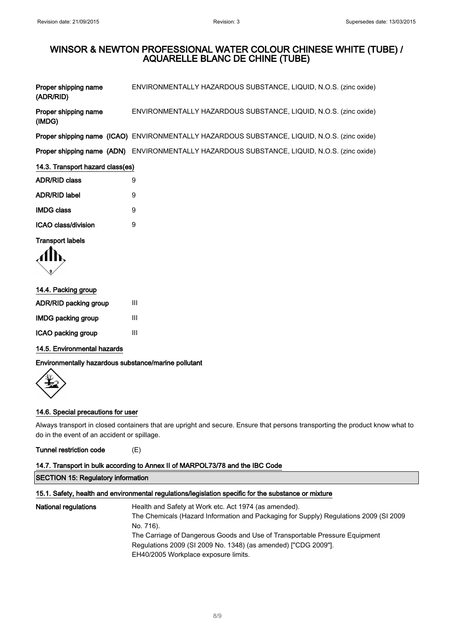| Proper shipping name<br>(ADR/RID) | ENVIRONMENTALLY HAZARDOUS SUBSTANCE, LIQUID, N.O.S. (zinc oxide)                                   |  |
|-----------------------------------|----------------------------------------------------------------------------------------------------|--|
| Proper shipping name<br>(IMDG)    | ENVIRONMENTALLY HAZARDOUS SUBSTANCE, LIQUID, N.O.S. (zinc oxide)                                   |  |
|                                   | Proper shipping name (ICAO) ENVIRONMENTALLY HAZARDOUS SUBSTANCE, LIQUID, N.O.S. (zinc oxide)       |  |
|                                   | <b>Proper shipping name (ADN)</b> ENVIRONMENTALLY HAZARDOUS SUBSTANCE, LIQUID, N.O.S. (zinc oxide) |  |
| 14.3. Transport hazard class(es)  |                                                                                                    |  |
| <b>ADR/RID class</b>              | 9                                                                                                  |  |
| <b>ADR/RID label</b>              | 9                                                                                                  |  |
| <b>IMDG class</b>                 | 9                                                                                                  |  |
| ICAO class/division               | 9                                                                                                  |  |
| <b>Transport labels</b>           |                                                                                                    |  |

$$
\langle \prod_{\mathcal{G}}
$$

| 14.4. Packing group          |   |  |
|------------------------------|---|--|
| <b>ADR/RID packing group</b> | Ш |  |
| IMDG packing group           | Ш |  |
| ICAO packing group           | Ш |  |

14.5. Environmental hazards

Environmentally hazardous substance/marine pollutant



## 14.6. Special precautions for user

Always transport in closed containers that are upright and secure. Ensure that persons transporting the product know what to do in the event of an accident or spillage.

Tunnel restriction code (E)

# 14.7. Transport in bulk according to Annex II of MARPOL73/78 and the IBC Code

```
SECTION 15: Regulatory information
```
## 15.1. Safety, health and environmental regulations/legislation specific for the substance or mixture

| <b>National regulations</b> | Health and Safety at Work etc. Act 1974 (as amended).                                 |
|-----------------------------|---------------------------------------------------------------------------------------|
|                             | The Chemicals (Hazard Information and Packaging for Supply) Regulations 2009 (SI 2009 |
|                             | No. 716).                                                                             |
|                             | The Carriage of Dangerous Goods and Use of Transportable Pressure Equipment           |
|                             | Regulations 2009 (SI 2009 No. 1348) (as amended) ["CDG 2009"].                        |
|                             | EH40/2005 Workplace exposure limits.                                                  |